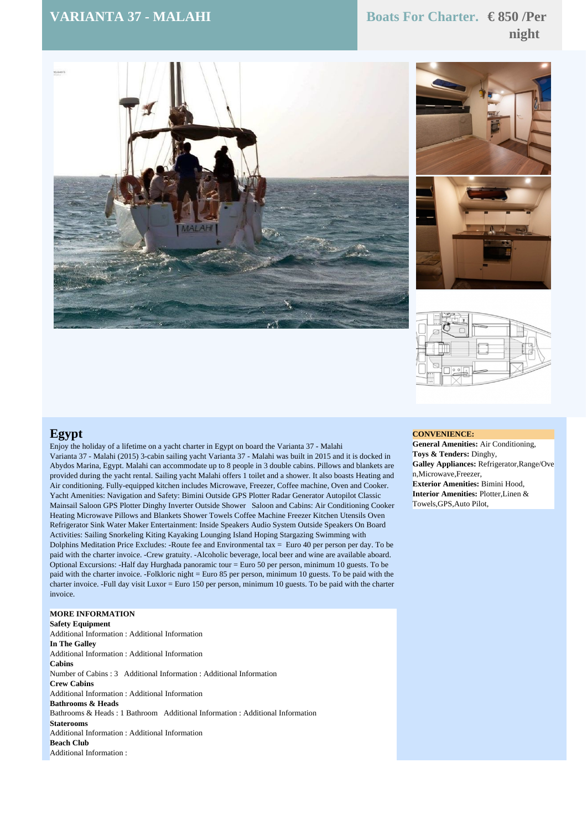# **VARIANTA 37 - MALAHI Boats For Charter. € 850 /Per night**







## **Egypt**

Enjoy the holiday of a lifetime on a yacht charter in Egypt on board the Varianta 37 - Malahi Varianta 37 - Malahi (2015) 3-cabin sailing yacht Varianta 37 - Malahi was built in 2015 and it is docked in Abydos Marina, Egypt. Malahi can accommodate up to 8 people in 3 double cabins. Pillows and blankets are provided during the yacht rental. Sailing yacht Malahi offers 1 toilet and a shower. It also boasts Heating and Air conditioning. Fully-equipped kitchen includes Microwave, Freezer, Coffee machine, Oven and Cooker. Yacht Amenities: Navigation and Safety: Bimini Outside GPS Plotter Radar Generator Autopilot Classic Mainsail Saloon GPS Plotter Dinghy Inverter Outside Shower Saloon and Cabins: Air Conditioning Cooker Heating Microwave Pillows and Blankets Shower Towels Coffee Machine Freezer Kitchen Utensils Oven Refrigerator Sink Water Maker Entertainment: Inside Speakers Audio System Outside Speakers On Board Activities: Sailing Snorkeling Kiting Kayaking Lounging Island Hoping Stargazing Swimming with Dolphins Meditation Price Excludes: -Route fee and Environmental tax  $=$  Euro 40 per person per day. To be paid with the charter invoice. -Crew gratuity. -Alcoholic beverage, local beer and wine are available aboard. Optional Excursions: -Half day Hurghada panoramic tour = Euro 50 per person, minimum 10 guests. To be paid with the charter invoice. -Folkloric night = Euro 85 per person, minimum 10 guests. To be paid with the charter invoice. -Full day visit Luxor = Euro 150 per person, minimum 10 guests. To be paid with the charter invoice.

### **MORE INFORMATION**

**Safety Equipment** Additional Information : Additional Information **In The Galley** Additional Information : Additional Information **Cabins** Number of Cabins : 3 Additional Information : Additional Information **Crew Cabins** Additional Information : Additional Information **Bathrooms & Heads** Bathrooms & Heads : 1 Bathroom Additional Information : Additional Information **Staterooms** Additional Information : Additional Information **Beach Club** Additional Information :

#### **CONVENIENCE:**

**General Amenities:** Air Conditioning, **Toys & Tenders:** Dinghy, **Galley Appliances:** Refrigerator,Range/Ove n,Microwave,Freezer, **Exterior Amenities:** Bimini Hood, **Interior Amenities:** Plotter,Linen & Towels,GPS,Auto Pilot,